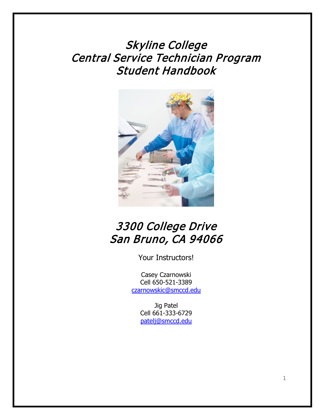Skyline College Central Service Technician Program Student Handbook



# 3300 College Drive San Bruno, CA 94066

Your Instructors!

Casey Czarnowski Cell 650-521-3389 [czarnowskic@smccd.edu](mailto:czarnowskic@smccd.edu)

> Jig Patel Cell 661-333-6729 [patelj@smccd.edu](mailto:patelj@smccd.edu)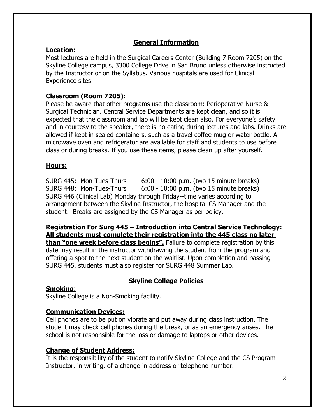## **General Information**

## **Location:**

Most lectures are held in the Surgical Careers Center (Building 7 Room 7205) on the Skyline College campus, 3300 College Drive in San Bruno unless otherwise instructed by the Instructor or on the Syllabus. Various hospitals are used for Clinical Experience sites.

# **Classroom (Room 7205):**

Please be aware that other programs use the classroom: Perioperative Nurse & Surgical Technician. Central Service Departments are kept clean, and so it is expected that the classroom and lab will be kept clean also. For everyone's safety and in courtesy to the speaker, there is no eating during lectures and labs. Drinks are allowed if kept in sealed containers, such as a travel coffee mug or water bottle. A microwave oven and refrigerator are available for staff and students to use before class or during breaks. If you use these items, please clean up after yourself.

# **Hours:**

SURG 445: Mon-Tues-Thurs 6:00 - 10:00 p.m. (two 15 minute breaks) SURG 448: Mon-Tues-Thurs 6:00 - 10:00 p.m. (two 15 minute breaks) SURG 446 (Clinical Lab) Monday through Friday--time varies according to arrangement between the Skyline Instructor, the hospital CS Manager and the student. Breaks are assigned by the CS Manager as per policy.

**Registration For Surg 445 – Introduction into Central Service Technology: All students must complete their registration into the 445 class no later than** "one week before class begins". Failure to complete registration by this date may result in the instructor withdrawing the student from the program and offering a spot to the next student on the waitlist. Upon completion and passing SURG 445, students must also register for SURG 448 Summer Lab.

# **Skyline College Policies**

## **Smoking**:

Skyline College is a Non-Smoking facility.

# **Communication Devices:**

Cell phones are to be put on vibrate and put away during class instruction. The student may check cell phones during the break, or as an emergency arises. The school is not responsible for the loss or damage to laptops or other devices.

## **Change of Student Address:**

It is the responsibility of the student to notify Skyline College and the CS Program Instructor, in writing, of a change in address or telephone number.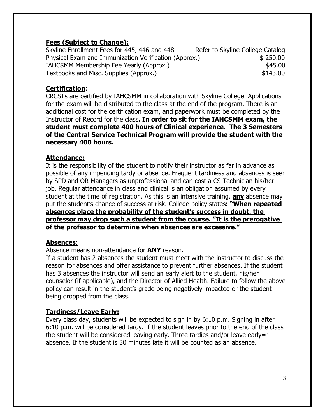#### **Fees (Subject to Change):**

Skyline Enrollment Fees for 445, 446 and 448 Refer to Skyline College Catalog Physical Exam and Immunization Verification (Approx.) \$ 250.00 IAHCSMM Membership Fee Yearly (Approx.)  $$45.00$ Textbooks and Misc. Supplies (Approx.)  $$143.00$ 

## **Certification:**

CRCSTs are certified by IAHCSMM in collaboration with Skyline College. Applications for the exam will be distributed to the class at the end of the program. There is an additional cost for the certification exam, and paperwork must be completed by the Instructor of Record for the class**. In order to sit for the IAHCSMM exam, the student must complete 400 hours of Clinical experience. The 3 Semesters of the Central Service Technical Program will provide the student with the necessary 400 hours.**

#### **Attendance:**

It is the responsibility of the student to notify their instructor as far in advance as possible of any impending tardy or absence. Frequent tardiness and absences is seen by SPD and OR Managers as unprofessional and can cost a CS Technician his/her job. Regular attendance in class and clinical is an obligation assumed by every student at the time of registration. As this is an intensive training, **any** absence may put the student's chance of success at risk. College policy states**: "When repeated absences place the probability of the student's success in doubt, the professor may drop such a student from the course. "It is the prerogative of the professor to determine when absences are excessive."**

#### **Absences**:

Absence means non-attendance for **ANY** reason.

If a student has 2 absences the student must meet with the instructor to discuss the reason for absences and offer assistance to prevent further absences. If the student has 3 absences the instructor will send an early alert to the student, his/her counselor (if applicable), and the Director of Allied Health. Failure to follow the above policy can result in the student's grade being negatively impacted or the student being dropped from the class.

## **Tardiness/Leave Early:**

Every class day, students will be expected to sign in by 6:10 p.m. Signing in after 6:10 p.m. will be considered tardy. If the student leaves prior to the end of the class the student will be considered leaving early. Three tardies and/or leave early=1 absence. If the student is 30 minutes late it will be counted as an absence.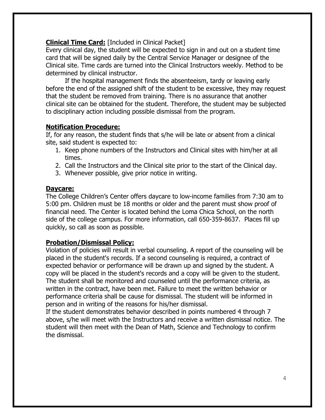## **Clinical Time Card:** [Included in Clinical Packet]

Every clinical day, the student will be expected to sign in and out on a student time card that will be signed daily by the Central Service Manager or designee of the Clinical site. Time cards are turned into the Clinical Instructors weekly. Method to be determined by clinical instructor.

If the hospital management finds the absenteeism, tardy or leaving early before the end of the assigned shift of the student to be excessive, they may request that the student be removed from training. There is no assurance that another clinical site can be obtained for the student. Therefore, the student may be subjected to disciplinary action including possible dismissal from the program.

#### **Notification Procedure:**

If, for any reason, the student finds that s/he will be late or absent from a clinical site, said student is expected to:

- 1. Keep phone numbers of the Instructors and Clinical sites with him/her at all times.
- 2. Call the Instructors and the Clinical site prior to the start of the Clinical day.
- 3. Whenever possible, give prior notice in writing.

## **Daycare:**

The College Children's Center offers daycare to low-income families from 7:30 am to 5:00 pm. Children must be 18 months or older and the parent must show proof of financial need. The Center is located behind the Loma Chica School, on the north side of the college campus. For more information, call 650-359-8637. Places fill up quickly, so call as soon as possible.

## **Probation/Dismissal Policy:**

Violation of policies will result in verbal counseling. A report of the counseling will be placed in the student's records. If a second counseling is required, a contract of expected behavior or performance will be drawn up and signed by the student. A copy will be placed in the student's records and a copy will be given to the student. The student shall be monitored and counseled until the performance criteria, as written in the contract, have been met. Failure to meet the written behavior or performance criteria shall be cause for dismissal. The student will be informed in person and in writing of the reasons for his/her dismissal.

If the student demonstrates behavior described in points numbered 4 through 7 above, s/he will meet with the Instructors and receive a written dismissal notice. The student will then meet with the Dean of Math, Science and Technology to confirm the dismissal.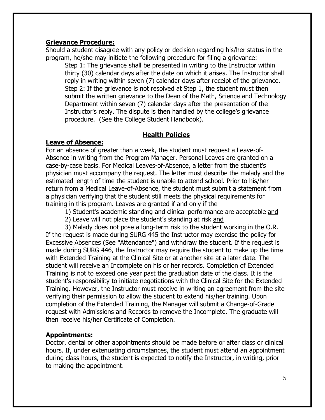#### **Grievance Procedure:**

Should a student disagree with any policy or decision regarding his/her status in the program, he/she may initiate the following procedure for filing a grievance:

Step 1: The grievance shall be presented in writing to the Instructor within thirty (30) calendar days after the date on which it arises. The Instructor shall reply in writing within seven (7) calendar days after receipt of the grievance. Step 2: If the grievance is not resolved at Step 1, the student must then submit the written grievance to the Dean of the Math, Science and Technology Department within seven (7) calendar days after the presentation of the Instructor's reply. The dispute is then handled by the college's grievance procedure. (See the College Student Handbook).

#### **Health Policies**

## **Leave of Absence:**

For an absence of greater than a week, the student must request a Leave-of-Absence in writing from the Program Manager. Personal Leaves are granted on a case-by-case basis. For Medical Leaves-of-Absence, a letter from the student's physician must accompany the request. The letter must describe the malady and the estimated length of time the student is unable to attend school. Prior to his/her return from a Medical Leave-of-Absence, the student must submit a statement from a physician verifying that the student still meets the physical requirements for training in this program. Leaves are granted if and only if the

1) Student's academic standing and clinical performance are acceptable and

2) Leave will not place the student's standing at risk and

3) Malady does not pose a long-term risk to the student working in the O.R. If the request is made during SURG 445 the Instructor may exercise the policy for Excessive Absences (See "Attendance") and withdraw the student. If the request is made during SURG 446, the Instructor may require the student to make up the time with Extended Training at the Clinical Site or at another site at a later date. The student will receive an Incomplete on his or her records. Completion of Extended Training is not to exceed one year past the graduation date of the class. It is the student's responsibility to initiate negotiations with the Clinical Site for the Extended Training. However, the Instructor must receive in writing an agreement from the site verifying their permission to allow the student to extend his/her training. Upon completion of the Extended Training, the Manager will submit a Change-of-Grade request with Admissions and Records to remove the Incomplete. The graduate will then receive his/her Certificate of Completion.

## **Appointments:**

Doctor, dental or other appointments should be made before or after class or clinical hours. If, under extenuating circumstances, the student must attend an appointment during class hours, the student is expected to notify the Instructor, in writing, prior to making the appointment.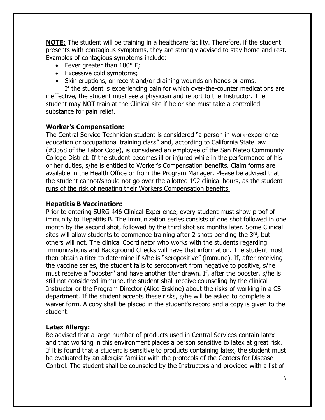**NOTE**: The student will be training in a healthcare facility. Therefore, if the student presents with contagious symptoms, they are strongly advised to stay home and rest. Examples of contagious symptoms include:

- Fever greater than 100° F;
- Excessive cold symptoms;
- Skin eruptions, or recent and/or draining wounds on hands or arms.

If the student is experiencing pain for which over-the-counter medications are ineffective, the student must see a physician and report to the Instructor. The student may NOT train at the Clinical site if he or she must take a controlled substance for pain relief.

## **Worker's Compensation:**

The Central Service Technician student is considered "a person in work-experience education or occupational training class" and, according to California State law (#3368 of the Labor Code), is considered an employee of the San Mateo Community College District. If the student becomes ill or injured while in the performance of his or her duties, s/he is entitled to Worker's Compensation benefits. Claim forms are available in the Health Office or from the Program Manager. Please be advised that the student cannot/should not go over the allotted 192 clinical hours, as the student runs of the risk of negating their Workers Compensation benefits.

## **Hepatitis B Vaccination:**

Prior to entering SURG 446 Clinical Experience, every student must show proof of immunity to Hepatitis B. The immunization series consists of one shot followed in one month by the second shot, followed by the third shot six months later. Some Clinical sites will allow students to commence training after 2 shots pending the  $3<sup>rd</sup>$ , but others will not. The clinical Coordinator who works with the students regarding Immunizations and Background Checks will have that information. The student must then obtain a titer to determine if s/he is "seropositive" (immune). If, after receiving the vaccine series, the student fails to seroconvert from negative to positive, s/he must receive a "booster" and have another titer drawn. If, after the booster, s/he is still not considered immune, the student shall receive counseling by the clinical Instructor or the Program Director (Alice Erskine) about the risks of working in a CS department. If the student accepts these risks, s/he will be asked to complete a waiver form. A copy shall be placed in the student's record and a copy is given to the student.

## **Latex Allergy:**

Be advised that a large number of products used in Central Services contain latex and that working in this environment places a person sensitive to latex at great risk. If it is found that a student is sensitive to products containing latex, the student must be evaluated by an allergist familiar with the protocols of the Centers for Disease Control. The student shall be counseled by the Instructors and provided with a list of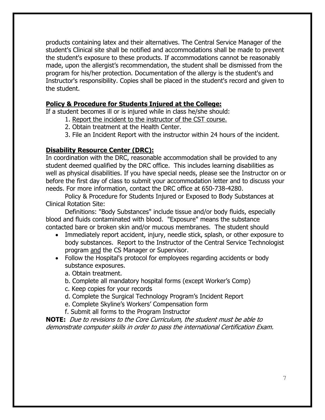products containing latex and their alternatives. The Central Service Manager of the student's Clinical site shall be notified and accommodations shall be made to prevent the student's exposure to these products. If accommodations cannot be reasonably made, upon the allergist's recommendation, the student shall be dismissed from the program for his/her protection. Documentation of the allergy is the student's and Instructor's responsibility. Copies shall be placed in the student's record and given to the student.

#### **Policy & Procedure for Students Injured at the College:**

If a student becomes ill or is injured while in class he/she should:

- 1. Report the incident to the instructor of the CST course.
- 2. Obtain treatment at the Health Center.
- 3. File an Incident Report with the instructor within 24 hours of the incident.

#### **Disability Resource Center (DRC):**

In coordination with the DRC, reasonable accommodation shall be provided to any student deemed qualified by the DRC office. This includes learning disabilities as well as physical disabilities. If you have special needs, please see the Instructor on or before the first day of class to submit your accommodation letter and to discuss your needs. For more information, contact the DRC office at 650-738-4280.

Policy & Procedure for Students Injured or Exposed to Body Substances at Clinical Rotation Site:

Definitions: "Body Substances" include tissue and/or body fluids, especially blood and fluids contaminated with blood. "Exposure" means the substance contacted bare or broken skin and/or mucous membranes. The student should

- Immediately report accident, injury, needle stick, splash, or other exposure to body substances. Report to the Instructor of the Central Service Technologist program and the CS Manager or Supervisor.
- Follow the Hospital's protocol for employees regarding accidents or body substance exposures.
	- a. Obtain treatment.
	- b. Complete all mandatory hospital forms (except Worker's Comp)
	- c. Keep copies for your records
	- d. Complete the Surgical Technology Program's Incident Report
	- e. Complete Skyline's Workers' Compensation form
	- f. Submit all forms to the Program Instructor

**NOTE:** Due to revisions to the Core Curriculum, the student must be able to demonstrate computer skills in order to pass the international Certification Exam.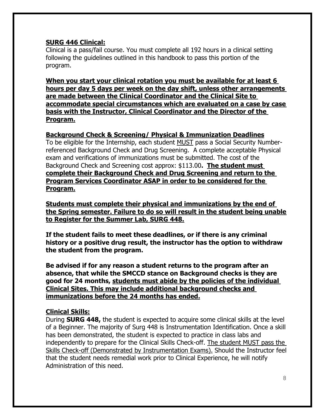#### **SURG 446 Clinical:**

Clinical is a pass/fail course. You must complete all 192 hours in a clinical setting following the guidelines outlined in this handbook to pass this portion of the program.

**When you start your clinical rotation you must be available for at least 6 hours per day 5 days per week on the day shift, unless other arrangements are made between the Clinical Coordinator and the Clinical Site to accommodate special circumstances which are evaluated on a case by case basis with the Instructor, Clinical Coordinator and the Director of the Program.**

#### **Background Check & Screening/ Physical & Immunization Deadlines**

To be eligible for the Internship, each student MUST pass a Social Security Numberreferenced Background Check and Drug Screening. A complete acceptable Physical exam and verifications of immunizations must be submitted. The cost of the Background Check and Screening cost approx: \$113.00**. The student must complete their Background Check and Drug Screening and return to the Program Services Coordinator ASAP in order to be considered for the Program.**

**Students must complete their physical and immunizations by the end of the Spring semester. Failure to do so will result in the student being unable to Register for the Summer Lab, SURG 448.**

**If the student fails to meet these deadlines, or if there is any criminal history or a positive drug result, the instructor has the option to withdraw the student from the program.**

**Be advised if for any reason a student returns to the program after an absence, that while the SMCCD stance on Background checks is they are good for 24 months, students must abide by the policies of the individual Clinical Sites. This may include additional background checks and immunizations before the 24 months has ended.**

## **Clinical Skills:**

During **SURG 448,** the student is expected to acquire some clinical skills at the level of a Beginner. The majority of Surg 448 is Instrumentation Identification. Once a skill has been demonstrated, the student is expected to practice in class labs and independently to prepare for the Clinical Skills Check-off. The student MUST pass the Skills Check-off (Demonstrated by Instrumentation Exams). Should the Instructor feel that the student needs remedial work prior to Clinical Experience, he will notify Administration of this need.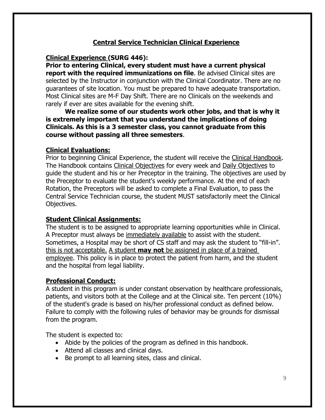# **Central Service Technician Clinical Experience**

#### **Clinical Experience (SURG 446):**

**Prior to entering Clinical, every student must have a current physical report with the required immunizations on file**. Be advised Clinical sites are selected by the Instructor in conjunction with the Clinical Coordinator. There are no guarantees of site location. You must be prepared to have adequate transportation. Most Clinical sites are M-F Day Shift. There are no Clinicals on the weekends and rarely if ever are sites available for the evening shift.

**We realize some of our students work other jobs, and that is why it is extremely important that you understand the implications of doing Clinicals. As this is a 3 semester class, you cannot graduate from this course without passing all three semesters**.

#### **Clinical Evaluations:**

Prior to beginning Clinical Experience, the student will receive the Clinical Handbook. The Handbook contains Clinical Objectives for every week and Daily Objectives to guide the student and his or her Preceptor in the training. The objectives are used by the Preceptor to evaluate the student's weekly performance. At the end of each Rotation, the Preceptors will be asked to complete a Final Evaluation, to pass the Central Service Technician course, the student MUST satisfactorily meet the Clinical Objectives.

## **Student Clinical Assignments:**

The student is to be assigned to appropriate learning opportunities while in Clinical. A Preceptor must always be immediately available to assist with the student. Sometimes, a Hospital may be short of CS staff and may ask the student to "fill-in". this is not acceptable. A student **may not** be assigned in place of a trained employee. This policy is in place to protect the patient from harm, and the student and the hospital from legal liability.

## **Professional Conduct:**

A student in this program is under constant observation by healthcare professionals, patients, and visitors both at the College and at the Clinical site. Ten percent (10%) of the student's grade is based on his/her professional conduct as defined below. Failure to comply with the following rules of behavior may be grounds for dismissal from the program.

The student is expected to:

- Abide by the policies of the program as defined in this handbook.
- Attend all classes and clinical days.
- Be prompt to all learning sites, class and clinical.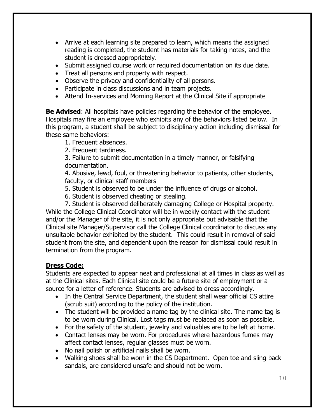- Arrive at each learning site prepared to learn, which means the assigned reading is completed, the student has materials for taking notes, and the student is dressed appropriately.
- Submit assigned course work or required documentation on its due date.
- Treat all persons and property with respect.
- Observe the privacy and confidentiality of all persons.
- Participate in class discussions and in team projects.
- Attend In-services and Morning Report at the Clinical Site if appropriate

**Be Advised**: All hospitals have policies regarding the behavior of the employee. Hospitals may fire an employee who exhibits any of the behaviors listed below. In this program, a student shall be subject to disciplinary action including dismissal for these same behaviors:

- 1. Frequent absences.
- 2. Frequent tardiness.

3. Failure to submit documentation in a timely manner, or falsifying documentation.

4. Abusive, lewd, foul, or threatening behavior to patients, other students, faculty, or clinical staff members

- 5. Student is observed to be under the influence of drugs or alcohol.
- 6. Student is observed cheating or stealing.

7. Student is observed deliberately damaging College or Hospital property. While the College Clinical Coordinator will be in weekly contact with the student and/or the Manager of the site, it is not only appropriate but advisable that the Clinical site Manager/Supervisor call the College Clinical coordinator to discuss any unsuitable behavior exhibited by the student. This could result in removal of said student from the site, and dependent upon the reason for dismissal could result in termination from the program.

# **Dress Code:**

Students are expected to appear neat and professional at all times in class as well as at the Clinical sites. Each Clinical site could be a future site of employment or a source for a letter of reference. Students are advised to dress accordingly.

- In the Central Service Department, the student shall wear official CS attire (scrub suit) according to the policy of the institution.
- The student will be provided a name tag by the clinical site. The name tag is to be worn during Clinical. Lost tags must be replaced as soon as possible.
- For the safety of the student, jewelry and valuables are to be left at home.
- Contact lenses may be worn. For procedures where hazardous fumes may affect contact lenses, regular glasses must be worn.
- No nail polish or artificial nails shall be worn.
- Walking shoes shall be worn in the CS Department. Open toe and sling back sandals, are considered unsafe and should not be worn.